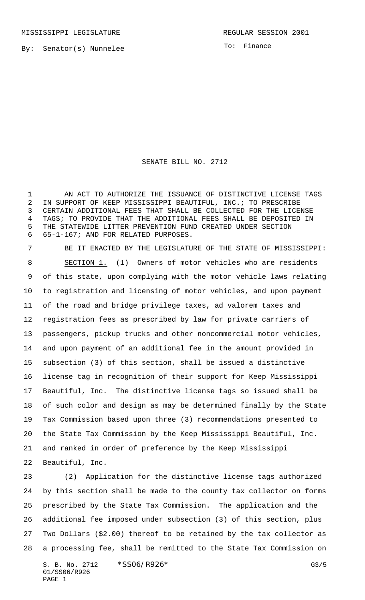MISSISSIPPI LEGISLATURE **REGULAR SESSION 2001** 

By: Senator(s) Nunnelee

To: Finance

## SENATE BILL NO. 2712

1 AN ACT TO AUTHORIZE THE ISSUANCE OF DISTINCTIVE LICENSE TAGS IN SUPPORT OF KEEP MISSISSIPPI BEAUTIFUL, INC.; TO PRESCRIBE CERTAIN ADDITIONAL FEES THAT SHALL BE COLLECTED FOR THE LICENSE TAGS; TO PROVIDE THAT THE ADDITIONAL FEES SHALL BE DEPOSITED IN THE STATEWIDE LITTER PREVENTION FUND CREATED UNDER SECTION 65-1-167; AND FOR RELATED PURPOSES.

 BE IT ENACTED BY THE LEGISLATURE OF THE STATE OF MISSISSIPPI: SECTION 1. (1) Owners of motor vehicles who are residents of this state, upon complying with the motor vehicle laws relating to registration and licensing of motor vehicles, and upon payment of the road and bridge privilege taxes, ad valorem taxes and registration fees as prescribed by law for private carriers of passengers, pickup trucks and other noncommercial motor vehicles, and upon payment of an additional fee in the amount provided in subsection (3) of this section, shall be issued a distinctive license tag in recognition of their support for Keep Mississippi Beautiful, Inc. The distinctive license tags so issued shall be of such color and design as may be determined finally by the State Tax Commission based upon three (3) recommendations presented to the State Tax Commission by the Keep Mississippi Beautiful, Inc. and ranked in order of preference by the Keep Mississippi Beautiful, Inc.

 (2) Application for the distinctive license tags authorized by this section shall be made to the county tax collector on forms prescribed by the State Tax Commission. The application and the additional fee imposed under subsection (3) of this section, plus Two Dollars (\$2.00) thereof to be retained by the tax collector as a processing fee, shall be remitted to the State Tax Commission on

S. B. No. 2712 \* SSO6/R926\* G3/5 01/SS06/R926 PAGE 1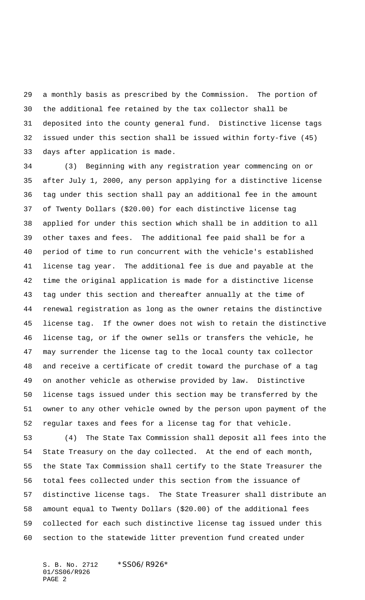a monthly basis as prescribed by the Commission. The portion of the additional fee retained by the tax collector shall be deposited into the county general fund. Distinctive license tags issued under this section shall be issued within forty-five (45) days after application is made.

 (3) Beginning with any registration year commencing on or after July 1, 2000, any person applying for a distinctive license tag under this section shall pay an additional fee in the amount of Twenty Dollars (\$20.00) for each distinctive license tag applied for under this section which shall be in addition to all other taxes and fees. The additional fee paid shall be for a period of time to run concurrent with the vehicle's established license tag year. The additional fee is due and payable at the time the original application is made for a distinctive license tag under this section and thereafter annually at the time of renewal registration as long as the owner retains the distinctive license tag. If the owner does not wish to retain the distinctive license tag, or if the owner sells or transfers the vehicle, he may surrender the license tag to the local county tax collector and receive a certificate of credit toward the purchase of a tag on another vehicle as otherwise provided by law. Distinctive license tags issued under this section may be transferred by the owner to any other vehicle owned by the person upon payment of the regular taxes and fees for a license tag for that vehicle.

 (4) The State Tax Commission shall deposit all fees into the State Treasury on the day collected. At the end of each month, the State Tax Commission shall certify to the State Treasurer the total fees collected under this section from the issuance of distinctive license tags. The State Treasurer shall distribute an amount equal to Twenty Dollars (\$20.00) of the additional fees collected for each such distinctive license tag issued under this section to the statewide litter prevention fund created under

S. B. No. 2712 \*SS06/R926\* 01/SS06/R926 PAGE 2